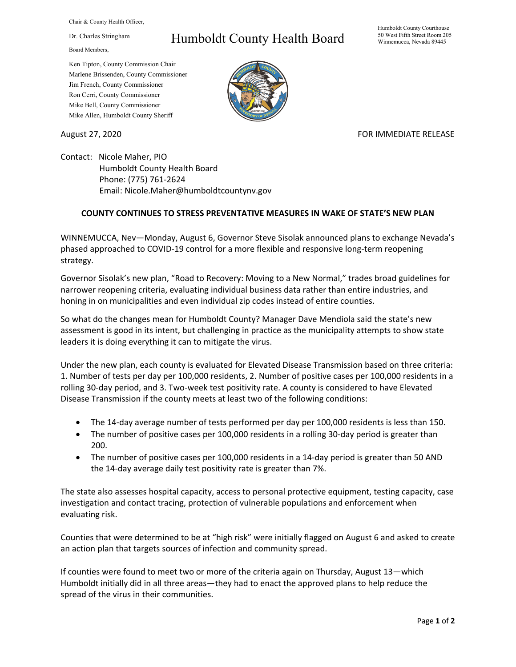Chair & County Health Officer,

Dr. Charles Stringham

Board Members,

## Humboldt County Health Board

Humboldt County Courthouse 50 West Fifth Street Room 205 Winnemucca, Nevada 89445

Ken Tipton, County Commission Chair Marlene Brissenden, County Commissioner Jim French, County Commissioner Ron Cerri, County Commissioner Mike Bell, County Commissioner Mike Allen, Humboldt County Sheriff

August 27, 2020 **FOR IMMEDIATE RELEASE** 

Contact: Nicole Maher, PIO Humboldt County Health Board Phone: (775) 761-2624 Email: Nicole.Maher@humboldtcountynv.gov

## **COUNTY CONTINUES TO STRESS PREVENTATIVE MEASURES IN WAKE OF STATE'S NEW PLAN**

WINNEMUCCA, Nev—Monday, August 6, Governor Steve Sisolak announced plans to exchange Nevada's phased approached to COVID-19 control for a more flexible and responsive long-term reopening strategy.

Governor Sisolak's new plan, "Road to Recovery: Moving to a New Normal," trades broad guidelines for narrower reopening criteria, evaluating individual business data rather than entire industries, and honing in on municipalities and even individual zip codes instead of entire counties.

So what do the changes mean for Humboldt County? Manager Dave Mendiola said the state's new assessment is good in its intent, but challenging in practice as the municipality attempts to show state leaders it is doing everything it can to mitigate the virus.

Under the new plan, each county is evaluated for Elevated Disease Transmission based on three criteria: 1. Number of tests per day per 100,000 residents, 2. Number of positive cases per 100,000 residents in a rolling 30-day period, and 3. Two-week test positivity rate. A county is considered to have Elevated Disease Transmission if the county meets at least two of the following conditions:

- The 14-day average number of tests performed per day per 100,000 residents is less than 150.
- The number of positive cases per 100,000 residents in a rolling 30-day period is greater than 200.
- The number of positive cases per 100,000 residents in a 14-day period is greater than 50 AND the 14-day average daily test positivity rate is greater than 7%.

The state also assesses hospital capacity, access to personal protective equipment, testing capacity, case investigation and contact tracing, protection of vulnerable populations and enforcement when evaluating risk.

Counties that were determined to be at "high risk" were initially flagged on August 6 and asked to create an action plan that targets sources of infection and community spread.

If counties were found to meet two or more of the criteria again on Thursday, August 13—which Humboldt initially did in all three areas—they had to enact the approved plans to help reduce the spread of the virus in their communities.